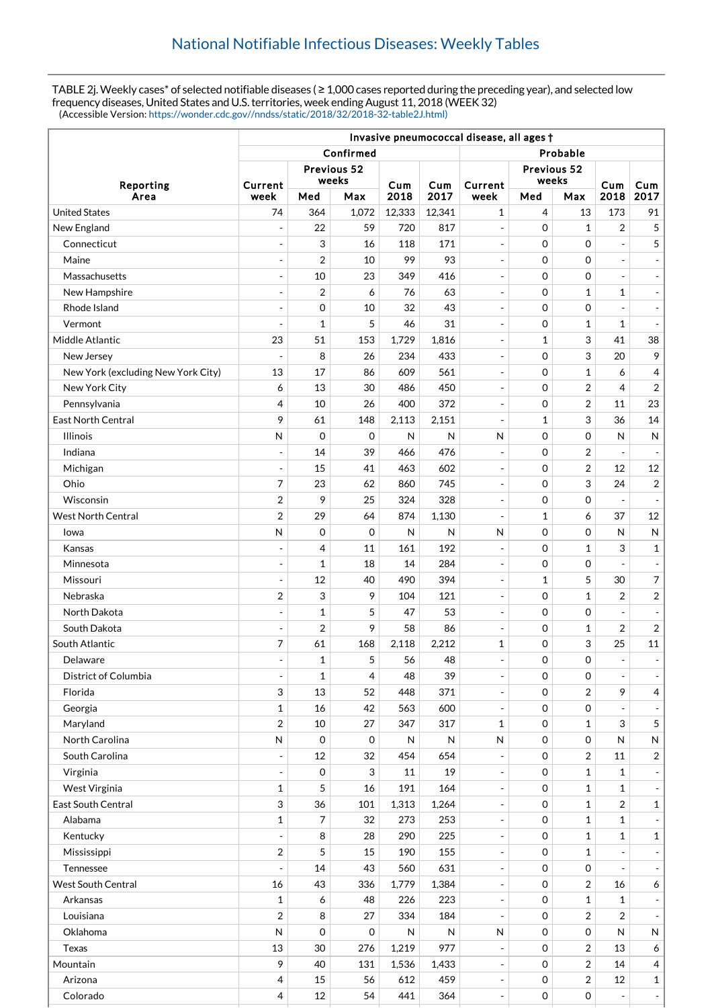TABLE 2j. Weekly cases\* of selected notifiable diseases (≥ 1,000 cases reported during the preceding year), and selected low frequency diseases, United States and U.S. territories, week ending August 11, 2018 (WEEK 32) (Accessible Version: [https://wonder.cdc.gov//nndss/static/2018/32/2018-32-table2J.html\)](https://wonder.cdc.gov//nndss/static/2018/32/2018-32-table2J.html)

|                                    | Invasive pneumococcal disease, all ages t |                      |             |             |             |                          |                      |                |                          |                          |
|------------------------------------|-------------------------------------------|----------------------|-------------|-------------|-------------|--------------------------|----------------------|----------------|--------------------------|--------------------------|
|                                    | Confirmed<br>Probable                     |                      |             |             |             |                          |                      |                |                          |                          |
| Reporting<br>Area                  |                                           | Previous 52<br>weeks |             |             |             |                          | Previous 52<br>weeks |                |                          |                          |
|                                    | Current<br>week                           | Med                  | Max         | Cum<br>2018 | Cum<br>2017 | Current<br>week          | Med                  | Max            | Cum<br>2018              | Cum<br>2017              |
| <b>United States</b>               | 74                                        | 364                  | 1,072       | 12,333      | 12,341      | 1                        | 4                    | 13             | 173                      | 91                       |
| New England                        | $\overline{\phantom{a}}$                  | 22                   | 59          | 720         | 817         | $\frac{1}{2}$            | 0                    | $\mathbf{1}$   | 2                        | 5                        |
| Connecticut                        | $\overline{\phantom{a}}$                  | 3                    | 16          | 118         | 171         | $\overline{a}$           | 0                    | 0              |                          | 5                        |
| Maine                              | $\overline{\phantom{a}}$                  | $\overline{2}$       | 10          | 99          | 93          | $\overline{a}$           | 0                    | 0              |                          | $\blacksquare$           |
| Massachusetts                      | $\overline{\phantom{a}}$                  | 10                   | 23          | 349         | 416         | ÷,                       | 0                    | $\Omega$       | $\overline{\phantom{a}}$ | $\overline{\phantom{a}}$ |
| New Hampshire                      | $\overline{\phantom{a}}$                  | $\overline{2}$       | 6           | 76          | 63          | $\overline{a}$           | 0                    | 1              | 1                        | $\overline{\phantom{a}}$ |
| Rhode Island                       | $\overline{\phantom{a}}$                  | $\mathbf 0$          | 10          | 32          | 43          | $\overline{a}$           | 0                    | 0              |                          | $\overline{\phantom{a}}$ |
| Vermont                            | $\overline{\phantom{a}}$                  | 1                    | 5           | 46          | 31          | $\overline{a}$           | 0                    | $\mathbf{1}$   | $\mathbf{1}$             | $\overline{\phantom{a}}$ |
| Middle Atlantic                    | 23                                        | 51                   | 153         | 1,729       | 1,816       | $\overline{a}$           | 1                    | 3              | 41                       | 38                       |
| New Jersey                         | $\overline{\phantom{a}}$                  | 8                    | 26          | 234         | 433         | $\overline{a}$           | $\mathbf 0$          | 3              | 20                       | 9                        |
| New York (excluding New York City) | 13                                        | 17                   | 86          | 609         | 561         | $\overline{\phantom{a}}$ | 0                    | $\mathbf{1}$   | 6                        | 4                        |
| New York City                      | 6                                         | 13                   | 30          | 486         | 450         | $\overline{a}$           | $\mathbf 0$          | $\overline{2}$ | $\overline{4}$           | $\overline{\mathbf{c}}$  |
| Pennsylvania                       | 4                                         | 10                   | 26          | 400         | 372         | $\overline{\phantom{a}}$ | 0                    | $\overline{2}$ | 11                       | 23                       |
| East North Central                 | 9                                         | 61                   | 148         | 2,113       | 2,151       | $\overline{a}$           | 1                    | 3              | 36                       | 14                       |
| <b>Illinois</b>                    | N                                         | $\mathbf 0$          | $\mathbf 0$ | N           | N           | N                        | 0                    | 0              | N                        | $\mathsf{N}$             |
| Indiana                            | $\overline{\phantom{a}}$                  | 14                   | 39          | 466         | 476         | $\overline{a}$           | $\mathbf 0$          | $\overline{2}$ |                          | $\overline{\phantom{a}}$ |
| Michigan                           | $\overline{\phantom{a}}$                  | 15                   | 41          | 463         | 602         | $\overline{a}$           | 0                    | $\overline{2}$ | 12                       | 12                       |
| Ohio                               | 7                                         | 23                   | 62          | 860         | 745         | ÷,                       | 0                    | 3              | 24                       | 2                        |
| Wisconsin                          | 2                                         | 9                    | 25          | 324         | 328         | $\overline{\phantom{a}}$ | $\mathbf 0$          | $\Omega$       | $\overline{\phantom{a}}$ | $\overline{\phantom{a}}$ |
| <b>West North Central</b>          | 2                                         | 29                   | 64          | 874         | 1,130       | $\overline{\phantom{a}}$ | 1                    | 6              | 37                       | 12                       |
| Iowa                               | N                                         | $\mathbf 0$          | $\mathbf 0$ | N           | N           | N                        | 0                    | $\Omega$       | N                        | N                        |
| Kansas                             | $\overline{\phantom{a}}$                  | $\overline{4}$       | 11          | 161         | 192         | $\overline{\phantom{a}}$ | 0                    | $\mathbf{1}$   | 3                        | $\mathbf{1}$             |
| Minnesota                          | $\blacksquare$                            | 1                    | 18          | 14          | 284         | $\overline{a}$           | 0                    | 0              | $\overline{\phantom{a}}$ | $\overline{\phantom{a}}$ |
| Missouri                           | $\overline{\phantom{a}}$                  | 12                   | 40          | 490         | 394         | $\blacksquare$           | 1                    | 5              | 30                       | $\overline{7}$           |
| Nebraska                           | 2                                         | 3                    | 9           | 104         | 121         | $\overline{a}$           | 0                    | $\mathbf{1}$   | $\overline{2}$           | $\overline{2}$           |
| North Dakota                       | $\frac{1}{2}$                             | 1                    | 5           | 47          | 53          | $\overline{a}$           | 0                    | 0              |                          | $\overline{\phantom{a}}$ |
| South Dakota                       | $\blacksquare$                            | $\overline{2}$       | 9           | 58          | 86          | $\overline{a}$           | 0                    | $\mathbf{1}$   | $\overline{2}$           | $\overline{2}$           |
| South Atlantic                     | 7                                         | 61                   | 168         | 2,118       | 2,212       | 1                        | 0                    | 3              | 25                       | 11                       |
| Delaware                           | $\overline{\phantom{a}}$                  | 1                    | 5           | 56          | 48          | $\overline{a}$           | 0                    | 0              | $\overline{\phantom{a}}$ | $\overline{\phantom{a}}$ |
| District of Columbia               | $\overline{\phantom{a}}$                  | 1                    | 4           | 48          | 39          | $\overline{a}$           | 0                    | $\mathbf 0$    | $\overline{\phantom{a}}$ | $\overline{\phantom{a}}$ |
| Florida                            | 3                                         | 13                   | 52          | 448         | 371         | $\blacksquare$           | $\mathbf 0$          | $\overline{2}$ | 9                        | $\overline{4}$           |
| Georgia                            | 1                                         | 16                   | 42          | 563         | 600         | $\overline{a}$           | 0                    | 0              |                          | $\overline{\phantom{a}}$ |
| Maryland                           | 2                                         | 10                   | 27          | 347         | 317         | 1                        | 0                    | 1              | 3                        | 5                        |
| North Carolina                     | ${\sf N}$                                 | $\mathbf 0$          | $\mathbf 0$ | N           | N           | $\mathsf{N}$             | $\mathbf 0$          | 0              | N                        | N                        |
| South Carolina                     | $\overline{\phantom{a}}$                  | 12                   | 32          | 454         | 654         | $\overline{\phantom{a}}$ | $\mathbf 0$          | 2              | 11                       | $\overline{2}$           |
| Virginia                           | $\blacksquare$                            | $\mathbf 0$          | 3           | 11          | 19          | $\blacksquare$           | 0                    | 1              | $\mathbf{1}$             | $\overline{\phantom{a}}$ |
| West Virginia                      | 1                                         | 5                    | 16          | 191         | 164         | $\overline{\phantom{a}}$ | 0                    | 1              | 1                        | $\overline{\phantom{a}}$ |
| East South Central                 | 3                                         | 36                   | 101         | 1,313       | 1,264       | $\overline{a}$           | $\boldsymbol{0}$     | $\mathbf 1$    | $\overline{2}$           | $1\,$                    |
| Alabama                            | $\mathbf 1$                               | 7                    | 32          | 273         | 253         | $\overline{a}$           | 0                    | 1              | 1                        | $\overline{\phantom{a}}$ |
| Kentucky                           | $\overline{\phantom{a}}$                  | 8                    | 28          | 290         | 225         | $\overline{\phantom{a}}$ | $\mathbf 0$          | $\mathbf 1$    | $\mathbf{1}$             | $1\,$                    |
| Mississippi                        | 2                                         | 5                    | 15          | 190         | 155         | $\overline{a}$           | 0                    | 1              |                          | $\overline{\phantom{a}}$ |
| Tennessee                          | $\frac{1}{2}$                             | 14                   | 43          | 560         | 631         | $\blacksquare$           | $\mathbf 0$          | 0              |                          | $\overline{\phantom{a}}$ |
| <b>West South Central</b>          | 16                                        | 43                   | 336         | 1,779       | 1,384       | $\overline{a}$           | $\boldsymbol{0}$     | 2              | 16                       | 6                        |
| Arkansas                           | $\mathbf 1$                               | 6                    | 48          | 226         | 223         | $\overline{\phantom{a}}$ | $\mathbf 0$          | 1              | 1                        | $\blacksquare$           |
| Louisiana                          | 2                                         | 8                    | 27          | 334         | 184         | $\frac{1}{2}$            | $\mathbf 0$          | 2              | 2                        | $\overline{\phantom{a}}$ |
| Oklahoma                           | N                                         | $\mathbf 0$          | $\mathbf 0$ | N           | N           | $\mathsf{N}$             | 0                    | $\mathbf 0$    | $\mathsf{N}$             | N                        |
| Texas                              | 13                                        | 30                   | 276         | 1,219       | 977         | $\overline{a}$           | $\boldsymbol{0}$     | $\overline{2}$ | 13                       | 6                        |
| Mountain                           | 9                                         | 40                   | 131         | 1,536       | 1,433       | $\overline{a}$           | 0                    | 2              | 14                       | $\overline{4}$           |
| Arizona                            | 4                                         | 15                   | 56          | 612         | 459         | $\blacksquare$           | $\mathbf 0$          | 2              | 12                       | $\mathbf{1}$             |
| Colorado                           | 4                                         | $12\,$               | 54          | 441         | 364         | $\overline{\phantom{a}}$ | $\mathbf 0$          | $\mathbf 0$    | $\blacksquare$           | $\sim$                   |